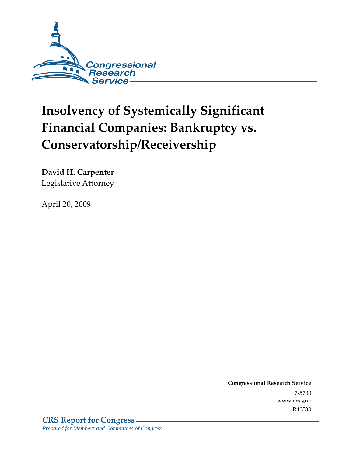

# **Insolvency of Systemically Significant Financial Companies: Bankruptcy vs.** Conservatorship/Receivership

**David H. Carpenter** Legislative Attorney

April 20, 2009

Conglessional Research Service -<br>...  $\frac{1}{2}$ www.crs.gov R40530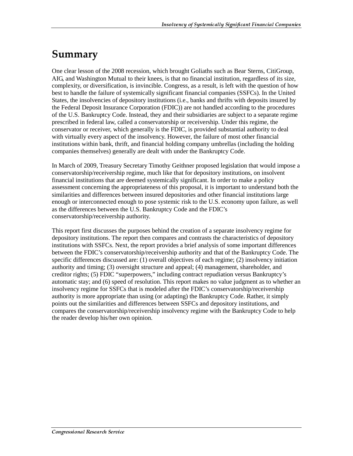## Summary

One clear lesson of the 2008 recession, which brought Goliaths such as Bear Sterns, CitiGroup, AIG, and Washington Mutual to their knees, is that no financial institution, regardless of its size, complexity, or diversification, is invincible. Congress, as a result, is left with the question of how best to handle the failure of systemically significant financial companies (SSFCs). In the United States, the insolvencies of depository institutions (i.e., banks and thrifts with deposits insured by the Federal Deposit Insurance Corporation (FDIC)) are not handled according to the procedures of the U.S. Bankruptcy Code. Instead, they and their subsidiaries are subject to a separate regime prescribed in federal law, called a conservatorship or receivership. Under this regime, the conservator or receiver, which generally is the FDIC, is provided substantial authority to deal with virtually every aspect of the insolvency. However, the failure of most other financial institutions within bank, thrift, and financial holding company umbrellas (including the holding companies themselves) generally are dealt with under the Bankruptcy Code.

In March of 2009, Treasury Secretary Timothy Geithner proposed legislation that would impose a conservatorship/receivership regime, much like that for depository institutions, on insolvent financial institutions that are deemed systemically significant. In order to make a policy assessment concerning the appropriateness of this proposal, it is important to understand both the similarities and differences between insured depositories and other financial institutions large enough or interconnected enough to pose systemic risk to the U.S. economy upon failure, as well as the differences between the U.S. Bankruptcy Code and the FDIC's conservatorship/receivership authority.

This report first discusses the purposes behind the creation of a separate insolvency regime for depository institutions. The report then compares and contrasts the characteristics of depository institutions with SSFCs. Next, the report provides a brief analysis of some important differences between the FDIC's conservatorship/receivership authority and that of the Bankruptcy Code. The specific differences discussed are: (1) overall objectives of each regime; (2) insolvency initiation authority and timing; (3) oversight structure and appeal; (4) management, shareholder, and creditor rights; (5) FDIC "superpowers," including contract repudiation versus Bankruptcy's automatic stay; and (6) speed of resolution. This report makes no value judgment as to whether an insolvency regime for SSFCs that is modeled after the FDIC's conservatorship/receivership authority is more appropriate than using (or adapting) the Bankruptcy Code. Rather, it simply points out the similarities and differences between SSFCs and depository institutions, and compares the conservatorship/receivership insolvency regime with the Bankruptcy Code to help the reader develop his/her own opinion.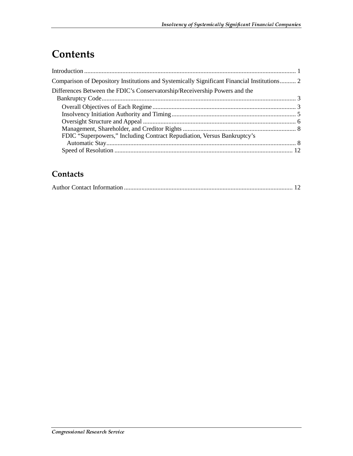# **Contents**

| Comparison of Depository Institutions and Systemically Significant Financial Institutions 2 |
|---------------------------------------------------------------------------------------------|
| Differences Between the FDIC's Conservatorship/Receivership Powers and the                  |
|                                                                                             |
|                                                                                             |
|                                                                                             |
|                                                                                             |
|                                                                                             |
| FDIC "Superpowers," Including Contract Repudiation, Versus Bankruptcy's                     |
|                                                                                             |
|                                                                                             |

### **Contacts**

|--|--|--|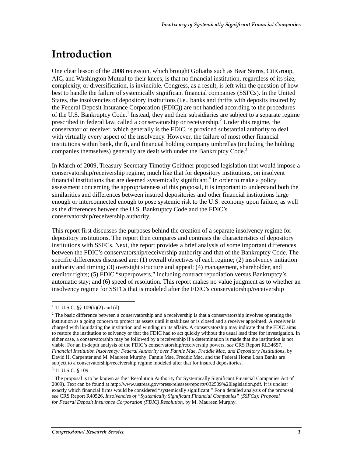### <u>Introduction</u>

One clear lesson of the 2008 recession, which brought Goliaths such as Bear Sterns, CitiGroup, AIG, and Washington Mutual to their knees, is that no financial institution, regardless of its size, complexity, or diversification, is invincible. Congress, as a result, is left with the question of how best to handle the failure of systemically significant financial companies (SSFCs). In the United States, the insolvencies of depository institutions (i.e., banks and thrifts with deposits insured by the Federal Deposit Insurance Corporation (FDIC)) are not handled according to the procedures of the U.S. Bankruptcy Code.<sup>1</sup> Instead, they and their subsidiaries are subject to a separate regime prescribed in federal law, called a conservatorship or receivership.<sup>2</sup> Under this regime, the conservator or receiver, which generally is the FDIC, is provided substantial authority to deal with virtually every aspect of the insolvency. However, the failure of most other financial institutions within bank, thrift, and financial holding company umbrellas (including the holding companies themselves) generally are dealt with under the Bankruptcy Code.<sup>3</sup>

In March of 2009, Treasury Secretary Timothy Geithner proposed legislation that would impose a conservatorship/receivership regime, much like that for depository institutions, on insolvent financial institutions that are deemed systemically significant.<sup>4</sup> In order to make a policy assessment concerning the appropriateness of this proposal, it is important to understand both the similarities and differences between insured depositories and other financial institutions large enough or interconnected enough to pose systemic risk to the U.S. economy upon failure, as well as the differences between the U.S. Bankruptcy Code and the FDIC's conservatorship/receivership authority.

This report first discusses the purposes behind the creation of a separate insolvency regime for depository institutions. The report then compares and contrasts the characteristics of depository institutions with SSFCs. Next, the report provides a brief analysis of some important differences between the FDIC's conservatorship/receivership authority and that of the Bankruptcy Code. The specific differences discussed are: (1) overall objectives of each regime; (2) insolvency initiation authority and timing; (3) oversight structure and appeal; (4) management, shareholder, and creditor rights; (5) FDIC "superpowers," including contract repudiation versus Bankruptcy's automatic stay; and (6) speed of resolution. This report makes no value judgment as to whether an insolvency regime for SSFCs that is modeled after the FDIC's conservatorship/receivership

<sup>&</sup>lt;sup>1</sup> 11 U.S.C. §§ 109(b)(2) and (d).

 $2$  The basic difference between a conservatorship and a receivership is that a conservatorship involves operating the institution as a going concern to protect its assets until it stabilizes or is closed and a receiver appointed. A receiver is charged with liquidating the institution and winding up its affairs. A conservatorship may indicate that the FDIC aims to restore the institution to solvency or that the FDIC had to act quickly without the usual lead time for investigation. In either case, a conservatorship may be followed by a receivership if a determination is made that the institution is not viable. For an in-depth analysis of the FDIC's conservatorship/receivership powers, *see* CRS Report RL34657, *Financial Institution Insolvency: Federal Authority over Fannie Mae, Freddie Mac, and Depository Institutions*, by David H. Carpenter and M. Maureen Murphy. Fannie Mae, Freddic Mac, and the Federal Home Loan Banks are subject to a conservatorship/receivership regime modeled after that for insured depositories.

<sup>&</sup>lt;sup>3</sup> 11 U.S.C. § 109.

<sup>&</sup>lt;sup>4</sup> The proposal is to be known as the "Resolution Authority for Systemically Significant Financial Companies Act of 2009). Text can be found at http://www.ustreas.gov/press/releases/reports/032509%20legislation.pdf. It is unclear exactly which financial firms would be considered "systemically significant." For a detailed analysis of the proposal, s*ee* CRS Report R40526, *Insolvencies of "Systemically Significant Financial Companies" (SSFCs): Proposal for Federal Deposit Insurance Corporation (FDIC) Resolution*, by M. Maureen Murphy.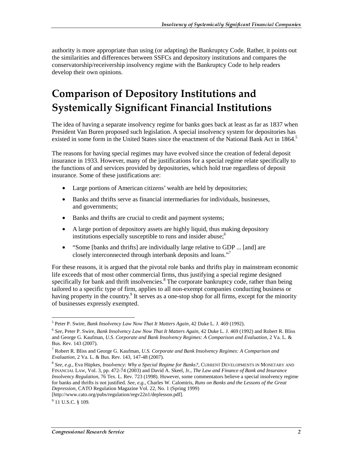authority is more appropriate than using (or adapting) the Bankruptcy Code. Rather, it points out the similarities and differences between SSFCs and depository institutions and compares the conservatorship/receivership insolvency regime with the Bankruptcy Code to help readers develop their own opinions.

# **Comparison of Depository Institutions and** Systemically Significant Financial Institutions

The idea of having a separate insolvency regime for banks goes back at least as far as 1837 when President Van Buren proposed such legislation. A special insolvency system for depositories has existed in some form in the United States since the enactment of the National Bank Act in 1864.<sup>5</sup>

The reasons for having special regimes may have evolved since the creation of federal deposit insurance in 1933. However, many of the justifications for a special regime relate specifically to the functions of and services provided by depositories, which hold true regardless of deposit insurance. Some of these justifications are:

- Large portions of American citizens' wealth are held by depositories;
- Banks and thrifts serve as financial intermediaries for individuals, businesses, and governments;
- Banks and thrifts are crucial to credit and payment systems;
- A large portion of depository assets are highly liquid, thus making depository institutions especially susceptible to runs and insider abuse;<sup>6</sup>
- "Some [banks and thrifts] are individually large relative to GDP ... [and] are closely interconnected through interbank deposits and loans."<sup>7</sup>

For these reasons, it is argued that the pivotal role banks and thrifts play in mainstream economic life exceeds that of most other commercial firms, thus justifying a special regime designed specifically for bank and thrift insolvencies.<sup>8</sup> The corporate bankruptcy code, rather than being tailored to a specific type of firm, applies to all non-exempt companies conducting business or having property in the country.<sup>9</sup> It serves as a one-stop shop for all firms, except for the minority of businesses expressly exempted.

 5 Peter P. Swire, *Bank Insolvency Law Now That It Matters Again*, 42 Duke L. J. 469 (1992).

<sup>6</sup> *See*, Peter P. Swire, *Bank Insolvency Law Now That It Matters Again*, 42 Duke L. J. 469 (1992) and Robert R. Bliss and George G. Kaufman, *U.S. Corporate and Bank Insolvency Regimes: A Comparison and Evaluation*, 2 Va. L. & Bus. Rev. 143 (2007).

<sup>7</sup> Robert R. Bliss and George G. Kaufman, *U.S. Corporate and Bank Insolvency Regimes: A Comparison and Evaluation*, 2 Va. L. & Bus. Rev. 143, 147-48 (2007).

<sup>8</sup> *See, e.g.,* Eva Hüpkes, *Insolvency: Why a Special Regime for Banks?*, CURRENT DEVELOPMENTS IN MONETARY AND FINANCIAL LAW, Vol. 3, pp. 472-74 (2003) and David A. Skeel, Jr., *The Law and Finance of Bank and Insurance Insolvency Regulation*, 76 Tex. L. Rev. 723 (1998). However, some commentators believe a special insolvency regime for banks and thrifts is not justified. *See*, *e.g.*, Charles W. Calomiris, *Runs on Banks and the Lessons of the Great Depression*, CATO Regulation Magazine Vol. 22, No. 1 (Spring 1999)

<sup>[</sup>http://www.cato.org/pubs/regulation/regv22n1/deplesson.pdf].

<sup>&</sup>lt;sup>9</sup> 11 U.S.C. § 109.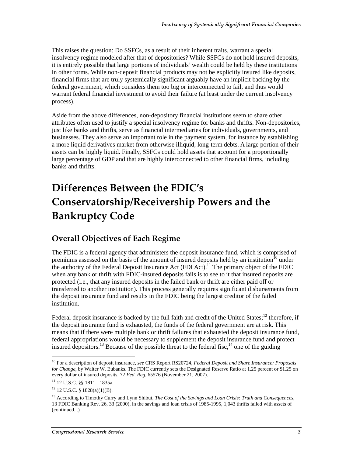This raises the question: Do SSFCs, as a result of their inherent traits, warrant a special insolvency regime modeled after that of depositories? While SSFCs do not hold insured deposits, it is entirely possible that large portions of individuals' wealth could be held by these institutions in other forms. While non-deposit financial products may not be explicitly insured like deposits, financial firms that are truly systemically significant arguably have an implicit backing by the federal government, which considers them too big or interconnected to fail, and thus would warrant federal financial investment to avoid their failure (at least under the current insolvency process).

Aside from the above differences, non-depository financial institutions seem to share other attributes often used to justify a special insolvency regime for banks and thrifts. Non-depositories, just like banks and thrifts, serve as financial intermediaries for individuals, governments, and businesses. They also serve an important role in the payment system, for instance by establishing a more liquid derivatives market from otherwise illiquid, long-term debts. A large portion of their assets can be highly liquid. Finally, SSFCs could hold assets that account for a proportionally large percentage of GDP and that are highly interconnected to other financial firms, including banks and thrifts.

# Differences Between the FDIC's **Conservatorship/Receivership Powers and the Bankruptcy Code**

#### **Overall Objectives of Each Regime**

The FDIC is a federal agency that administers the deposit insurance fund, which is comprised of premiums assessed on the basis of the amount of insured deposits held by an institution<sup>10</sup> under the authority of the Federal Deposit Insurance Act (FDI Act).<sup>11</sup> The primary object of the FDIC when any bank or thrift with FDIC-insured deposits fails is to see to it that insured deposits are protected (i.e., that any insured deposits in the failed bank or thrift are either paid off or transferred to another institution). This process generally requires significant disbursements from the deposit insurance fund and results in the FDIC being the largest creditor of the failed institution.

Federal deposit insurance is backed by the full faith and credit of the United States; $12$  therefore, if the deposit insurance fund is exhausted, the funds of the federal government are at risk. This means that if there were multiple bank or thrift failures that exhausted the deposit insurance fund, federal appropriations would be necessary to supplement the deposit insurance fund and protect insured depositors.<sup>13</sup> Because of the possible threat to the federal fisc,<sup>14</sup> one of the guiding

 $\overline{a}$ 10 For a description of deposit insurance, *see* CRS Report RS20724, *Federal Deposit and Share Insurance: Proposals for Change*, by Walter W. Eubanks. The FDIC currently sets the Designated Reserve Ratio at 1.25 percent or \$1.25 on every dollar of insured deposits. 72 *Fed. Reg.* 65576 (November 21, 2007).

<sup>11 12</sup> U.S.C. §§ 1811 - 1835a.

<sup>12 12</sup> U.S.C. § 1828(a)(1)(B).

<sup>13</sup> According to Timothy Curry and Lynn Shibut, *The Cost of the Savings and Loan Crisis: Truth and Consequences*, 13 FDIC Banking Rev. 26, 33 (2000), in the savings and loan crisis of 1985-1995, 1,043 thrifts failed with assets of (continued...)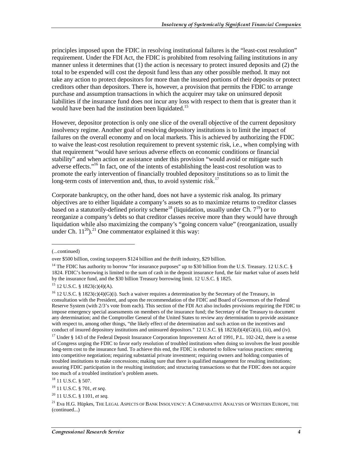principles imposed upon the FDIC in resolving institutional failures is the "least-cost resolution" requirement. Under the FDI Act, the FDIC is prohibited from resolving failing institutions in any manner unless it determines that (1) the action is necessary to protect insured deposits and (2) the total to be expended will cost the deposit fund less than any other possible method. It may not take any action to protect depositors for more than the insured portions of their deposits or protect creditors other than depositors. There is, however, a provision that permits the FDIC to arrange purchase and assumption transactions in which the acquirer may take on uninsured deposit liabilities if the insurance fund does not incur any loss with respect to them that is greater than it would have been had the institution been liquidated.<sup>15</sup>

However, depositor protection is only one slice of the overall objective of the current depository insolvency regime. Another goal of resolving depository institutions is to limit the impact of failures on the overall economy and on local markets. This is achieved by authorizing the FDIC to waive the least-cost resolution requirement to prevent systemic risk, i.e., when complying with that requirement "would have serious adverse effects on economic conditions or financial stability" and when action or assistance under this provision "would avoid or mitigate such adverse effects."16 In fact, one of the intents of establishing the least-cost resolution was to promote the early intervention of financially troubled depository institutions so as to limit the long-term costs of intervention and, thus, to avoid systemic risk.<sup>17</sup>

Corporate bankruptcy, on the other hand, does not have a systemic risk analog. Its primary objectives are to either liquidate a company's assets so as to maximize returns to creditor classes based on a statutorily-defined priority scheme<sup>18</sup> (liquidation, usually under Ch.  $7^{19}$ ) or to reorganize a company's debts so that creditor classes receive more than they would have through liquidation while also maximizing the company's "going concern value" (reorganization, usually under Ch.  $11^{20}$ .<sup>21</sup> One commentator explained it this way:

j

<sup>(...</sup>continued)

over \$500 billion, costing taxpayers \$124 billion and the thrift industry, \$29 billion.

<sup>&</sup>lt;sup>14</sup> The FDIC has authority to borrow "for insurance purposes" up to \$30 billion from the U.S. Treasury. 12 U.S.C. § 1824. FDIC's borrowing is limited to the sum of cash in the deposit insurance fund, the fair market value of assets held by the insurance fund, and the \$30 billion Treasury borrowing limit. 12 U.S.C. § 1825.

 $15$  12 U.S.C. § 1823(c)(4)(A).

<sup>&</sup>lt;sup>16</sup> 12 U.S.C. § 1823(c)(4)(G)(i). Such a waiver requires a determination by the Secretary of the Treasury, in consultation with the President, and upon the recommendation of the FDIC and Board of Governors of the Federal Reserve System (with 2/3's vote from each). This section of the FDI Act also includes provisions requiring the FDIC to impose emergency special assessments on members of the insurance fund; the Secretary of the Treasury to document any determination; and the Comptroller General of the United States to review any determination to provide assistance with respect to, among other things, "the likely effect of the determination and such action on the incentives and conduct of insured depository institutions and uninsured depositors." 12 U.S.C. §§ 1823(d)(4)(G)(ii), (iii), and (iv).

<sup>&</sup>lt;sup>17</sup> Under § 143 of the Federal Deposit Insurance Corporation Improvement Act of 1991, P.L. 102-242, there is a sense of Congress urging the FDIC to favor early resolution of troubled institutions when doing so involves the least possible long-term cost to the insurance fund. To achieve this end, the FDIC is exhorted to follow various practices: entering into competitive negotiation; requiring substantial private investment; requiring owners and holding companies of troubled institutions to make concessions; making sure that there is qualified management for resulting institutions; assuring FDIC participation in the resulting institution; and structuring transactions so that the FDIC does not acquire too much of a troubled institution's problem assets.

<sup>&</sup>lt;sup>18</sup> 11 U.S.C. § 507.

<sup>19 11</sup> U.S.C. § 701, *et seq*.

<sup>20 11</sup> U.S.C. § 1101, *et seq.*

 $^{21}$  Eva H.G. Hüpkes, The Legal Aspects of Bank Insolvency: A Comparative Analysis of Western Europe, the (continued...)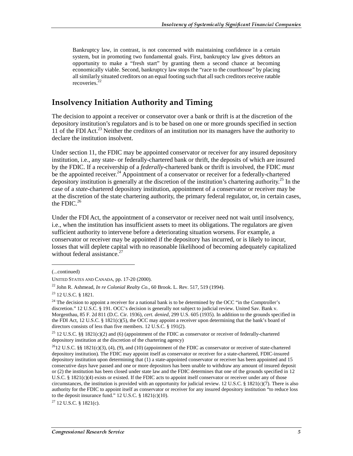Bankruptcy law, in contrast, is not concerned with maintaining confidence in a certain system, but in promoting two fundamental goals. First, bankruptcy law gives debtors an opportunity to make a "fresh start" by granting them a second chance at becoming economically viable. Second, bankruptcy law stops the "race to the courthouse" by placing all similarly situated creditors on an equal footing such that all such creditors receive ratable recoveries.<sup>22</sup>

#### **Insolvency Initiation Authority and Timing**

The decision to appoint a receiver or conservator over a bank or thrift is at the discretion of the depository institution's regulators and is to be based on one or more grounds specified in section 11 of the FDI Act.<sup>23</sup> Neither the creditors of an institution nor its managers have the authority to declare the institution insolvent.

Under section 11, the FDIC may be appointed conservator or receiver for any insured depository institution, i.e., any state- or federally-chartered bank or thrift, the deposits of which are insured by the FDIC. If a receivership of a *federally*-chartered bank or thrift is involved, the FDIC *must* be the appointed receiver.<sup>24</sup> Appointment of a conservator or receiver for a federally-chartered depository institution is generally at the discretion of the institution's chartering authority.<sup>25</sup> In the case of a *state*-chartered depository institution, appointment of a conservator or receiver may be at the discretion of the state chartering authority, the primary federal regulator, or, in certain cases, the FDIC. $^{26}$ 

Under the FDI Act, the appointment of a conservator or receiver need not wait until insolvency, i.e., when the institution has insufficient assets to meet its obligations. The regulators are given sufficient authority to intervene before a deteriorating situation worsens. For example, a conservator or receiver may be appointed if the depository has incurred, or is likely to incur, losses that will deplete capital with no reasonable likelihood of becoming adequately capitalized without federal assistance. $27$ 

j

 $27$  12 U.S.C. § 1821(c).

<sup>(...</sup>continued)

UNITED STATES AND CANADA, pp. 17-20 (2000).

 $^{22}$  John R. Ashmead, *In re Colonial Realty Co.*, 60 Brook. L. Rev. 517, 519 (1994).

<sup>23 12</sup> U.S.C. § 1821.

<sup>&</sup>lt;sup>24</sup> The decision to appoint a receiver for a national bank is to be determined by the OCC "in the Comptroller's discretion." 12 U.S.C. § 191. OCC's decision is generally not subject to judicial review. United Sav. Bank v. Morgenthau, 85 F. 2d 811 (D.C. Cir. 1936), *cert. denied*, 299 U.S. 605 (1935). In addition to the grounds specified in the FDI Act, 12 U.S.C. § 1821(c)(5), the OCC may appoint a receiver upon determining that the bank's board of directors consists of less than five members. 12 U.S.C. § 191(2).

<sup>25 12</sup> U.S.C. §§ 1821(c)(2) and (6) (appointment of the FDIC as conservator or receiver of federally-chartered depository institution at the discretion of the chartering agency)

 $^{26}$ 12 U.S.C. §§ 1821(c)(3), (4), (9), and (10) (appointment of the FDIC as conservator or receiver of state-chartered depository institution). The FDIC may appoint itself as conservator or receiver for a state-chartered, FDIC-insured depository institution upon determining that (1) a state-appointed conservator or receiver has been appointed and 15 consecutive days have passed and one or more depositors has been unable to withdraw any amount of insured deposit or (2) the institution has been closed under state law and the FDIC determines that one of the grounds specified in 12 U.S.C. § 1821(c)(4) exists or existed. If the FDIC acts to appoint itself conservator or receiver under any of those circumstances, the institution is provided with an opportunity for judicial review. 12 U.S.C. § 1821(c)(7). There is also authority for the FDIC to appoint itself as conservator or receiver for any insured depository institution "to reduce loss to the deposit insurance fund." 12 U.S.C. § 1821(c)(10).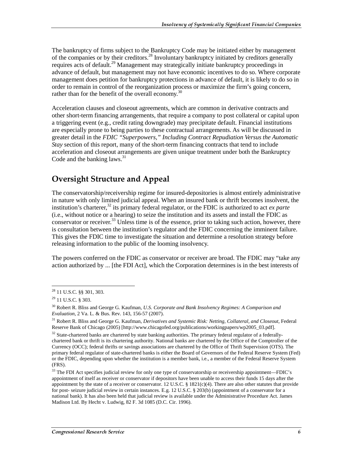The bankruptcy of firms subject to the Bankruptcy Code may be initiated either by management of the companies or by their creditors.<sup>28</sup> Involuntary bankruptcy initiated by creditors generally requires acts of default.<sup>29</sup> Management may strategically initiate bankruptcy proceedings in advance of default, but management may not have economic incentives to do so. Where corporate management does petition for bankruptcy protections in advance of default, it is likely to do so in order to remain in control of the reorganization process or maximize the firm's going concern, rather than for the benefit of the overall economy.<sup>30</sup>

Acceleration clauses and closeout agreements, which are common in derivative contracts and other short-term financing arrangements, that require a company to post collateral or capital upon a triggering event (e.g., credit rating downgrade) may precipitate default. Financial institutions are especially prone to being parties to these contractual arrangements. As will be discussed in greater detail in the *FDIC "Superpowers," Including Contract Repudiation Versus the Automatic Stay* section of this report, many of the short-term financing contracts that tend to include acceleration and closeout arrangements are given unique treatment under both the Bankruptcy Code and the banking laws. $31$ 

#### **Oversight Structure and Appeal**

The conservatorship/receivership regime for insured-depositories is almost entirely administrative in nature with only limited judicial appeal. When an insured bank or thrift becomes insolvent, the institution's charterer,<sup>32</sup> its primary federal regulator, or the FDIC is authorized to act *ex parte* (i.e., without notice or a hearing) to seize the institution and its assets and install the FDIC as conservator or receiver.<sup>33</sup> Unless time is of the essence, prior to taking such action, however, there is consultation between the institution's regulator and the FDIC concerning the imminent failure. This gives the FDIC time to investigate the situation and determine a resolution strategy before releasing information to the public of the looming insolvency.

The powers conferred on the FDIC as conservator or receiver are broad. The FDIC may "take any action authorized by ... [the FDI Act], which the Corporation determines is in the best interests of

 $\overline{a}$ 28 11 U.S.C. §§ 301, 303.

<sup>29 11</sup> U.S.C. § 303.

<sup>30</sup> Robert R. Bliss and George G. Kaufman, *U.S. Corporate and Bank Insolvency Regimes: A Comparison and Evaluation*, 2 Va. L. & Bus. Rev. 143, 156-57 (2007).

<sup>31</sup> Robert R. Bliss and George G. Kaufman, *Derivatives and Systemic Risk: Netting, Collateral, and Closeout*, Federal Reserve Bank of Chicago (2005) [http://www.chicagofed.org/publications/workingpapers/wp2005\_03.pdf].

 $32$  State-chartered banks are chartered by state banking authorities. The primary federal regulator of a federallychartered bank or thrift is its chartering authority. National banks are chartered by the Office of the Comptroller of the Currency (OCC); federal thrifts or savings associations are chartered by the Office of Thrift Supervision (OTS). The primary federal regulator of state-chartered banks is either the Board of Governors of the Federal Reserve System (Fed) or the FDIC, depending upon whether the institution is a member bank, i.e., a member of the Federal Reserve System (FRS).

<sup>&</sup>lt;sup>33</sup> The FDI Act specifies judicial review for only one type of conservatorship or receivership appointment—FDIC's appointment of itself as receiver or conservator if depositors have been unable to access their funds 15 days after the appointment by the state of a receiver or conservator. 12 U.S.C. §  $1821(c)(4)$ . There are also other statutes that provide for post- seizure judicial review in certain instances. E.g. 12 U.S.C. § 203(b) (appointment of a conservator for a national bank). It has also been held that judicial review is available under the Administrative Procedure Act. James Madison Ltd. By Hecht v. Ludwig, 82 F. 3d 1085 (D.C. Cir. 1996).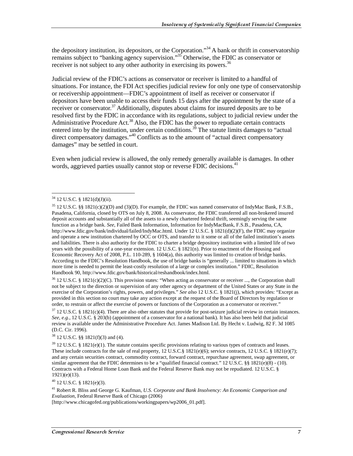the depository institution, its depositors, or the Corporation."<sup>34</sup> A bank or thrift in conservatorship remains subject to "banking agency supervision."<sup>35</sup> Otherwise, the FDIC as conservator or receiver is not subject to any other authority in exercising its powers.<sup>36</sup>

Judicial review of the FDIC's actions as conservator or receiver is limited to a handful of situations. For instance, the FDI Act specifies judicial review for only one type of conservatorship or receivership appointment—FDIC's appointment of itself as receiver or conservator if depositors have been unable to access their funds 15 days after the appointment by the state of a receiver or conservator.<sup>37</sup> Additionally, disputes about claims for insured deposits are to be resolved first by the FDIC in accordance with its regulations, subject to judicial review under the Administrative Procedure Act.<sup>38</sup> Also, the FDIC has the power to repudiate certain contracts entered into by the institution, under certain conditions.<sup>39</sup> The statute limits damages to "actual" direct compensatory damages."<sup>40</sup> Conflicts as to the amount of "actual direct compensatory damages" may be settled in court.

Even when judicial review is allowed, the only remedy generally available is damages. In other words, aggrieved parties usually cannot stop or reverse FDIC decisions.  $41$ 

 $\overline{a}$ 

 $36$  12 U.S.C. § 1821(c)(2)(C). This provision states: "When acting as conservator or receiver ..., the Corporation shall not be subject to the direction or supervision of any other agency or department of the United States or any State in the exercise of the Corporation's rights, powers, and privileges." *See also* 12 U.S.C. § 1821(j), which provides: "Except as provided in this section no court may take any action except at the request of the Board of Directors by regulation or order, to restrain or affect the exercise of powers or functions of the Corporation as a conservator or receiver."

38 12 U.S.C. §§ 1821(f)(3) and (4).

 $40$  12 U.S.C. § 1821(e)(3).

41 Robert R. Bliss and George G. Kaufman, *U.S. Corporate and Bank Insolvency: An Economic Comparison and Evaluation*, Federal Reserve Bank of Chicago (2006)

[http://www.chicagofed.org/publications/workingpapers/wp2006\_01.pdf].

 $34$  12 U.S.C. § 1821(d)(J)(ii).

<sup>35 12</sup> U.S.C. §§ 1821(c)(2)(D) and (3)(D). For example, the FDIC was named conservator of IndyMac Bank, F.S.B., Pasadena, California, closed by OTS on July 8, 2008. As conservator, the FDIC transferred all non-brokered insured deposit accounts and substantially all of the assets to a newly chartered federal thrift, seemingly serving the same function as a bridge bank. *See*, Failed Bank Information, Information for IndyMacBank, F.S.B., Pasadena, CA, http://www.fdic.gov/bank/individual/failed/IndyMac.html. Under 12 U.S.C. § 1821(d)(2)(F), the FDIC may organize and operate a new institution chartered by OCC or OTS, and transfer to it some or all of the failed institution's assets and liabilities. There is also authority for the FDIC to charter a bridge depository institution with a limited life of two years with the possibility of a one-year extension. 12 U.S.C. § 1821(n). Prior to enactment of the Housing and Economic Recovery Act of 2008, P.L. 110-289, § 1604(a), this authority was limited to creation of bridge banks. According to the FDIC's Resolution Handbook, the use of bridge banks is "generally ... limited to situations in which more time is needed to permit the least-costly resolution of a large or complex institution." FDIC, Resolution Handbook 90, http://www.fdic.gov/bank/historical/reshandbook/index.html.

 $37$  12 U.S.C. § 1821(c)(4). There are also other statutes that provide for post-seizure judicial review in certain instances. *See, e.g.*, 12 U.S.C. § 203(b) (appointment of a conservator for a national bank). It has also been held that judicial review is available under the Administrative Procedure Act. James Madison Ltd. By Hecht v. Ludwig, 82 F. 3d 1085 (D.C. Cir. 1996).

 $39$  12 U.S.C. § 1821(e)(1). The statute contains specific provisions relating to various types of contracts and leases. These include contracts for the sale of real property, 12 U.S.C.§ 1821(e)(6); service contracts, 12 U.S.C. § 1821(e)(7); and any certain securities contract, commodity contract, forward contract, repurchase agreement, swap agreement, or similar agreement that the FDIC determines to be a "qualified financial contract." 12 U.S.C. §§ 1821(e)(8) - (10). Contracts with a Federal Home Loan Bank and the Federal Reserve Bank may not be repudiated. 12 U.S.C. § 1921)(e)(13).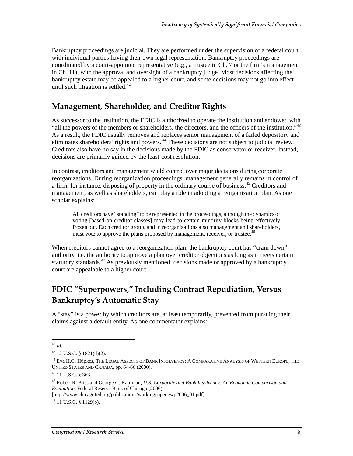Bankruptcy proceedings are judicial. They are performed under the supervision of a federal court with individual parties having their own legal representation. Bankruptcy proceedings are coordinated by a court-appointed representative (e.g., a trustee in Ch. 7 or the firm's management in Ch. 11), with the approval and oversight of a bankruptcy judge. Most decisions affecting the bankruptcy estate may be appealed to a higher court, and some decisions may not go into effect until such litigation is settled. $42$ 

#### Management, Shareholder, and Creditor Rights

As successor to the institution, the FDIC is authorized to operate the institution and endowed with "all the powers of the members or shareholders, the directors, and the officers of the institution." $43$ As a result, the FDIC usually removes and replaces senior management of a failed depository and eliminates shareholders' rights and powers.<sup>44</sup> These decisions are not subject to judicial review. Creditors also have no say in the decisions made by the FDIC as conservator or receiver. Instead, decisions are primarily guided by the least-cost resolution.

In contrast, creditors and management wield control over major decisions during corporate reorganizations. During reorganization proceedings, management generally remains in control of a firm, for instance, disposing of property in the ordinary course of business.<sup>45</sup> Creditors and management, as well as shareholders, can play a role in adopting a reorganization plan. As one scholar explains:

All creditors have "standing" to be represented in the proceedings, although the dynamics of voting [based on creditor classes] may lead to certain minority blocks being effectively frozen out. Each creditor group, and in reorganizations also management and shareholders, must vote to approve the plans proposed by management, receiver, or trustee.<sup>46</sup>

When creditors cannot agree to a reorganization plan, the bankruptcy court has "cram down" authority, i.e. the authority to approve a plan over creditor objections as long as it meets certain statutory standards.<sup>47</sup> As previously mentioned, decisions made or approved by a bankruptcy court are appealable to a higher court.

### FDIC "Superpowers," Including Contract Repudiation, Versus Bankruptcy's Automatic Stay

A "stay" is a power by which creditors are, at least temporarily, prevented from pursuing their claims against a default entity. As one commentator explains:

 $\overline{a}$ <sup>42</sup> *Id*.

<sup>43 12</sup> U.S.C. § 1821(d)(2).

<sup>44</sup> Eva H.G. Hüpkes, THE LEGAL ASPECTS OF BANK INSOLVENCY: A COMPARATIVE ANALYSIS OF WESTERN EUROPE, THE UNITED STATES AND CANADA, pp. 64-66 (2000).

<sup>45 11</sup> U.S.C. § 363.

<sup>46</sup> Robert R. Bliss and George G. Kaufman, *U.S. Corporate and Bank Insolvency: An Economic Comparison and Evaluation*, Federal Reserve Bank of Chicago (2006)

<sup>[</sup>http://www.chicagofed.org/publications/workingpapers/wp2006\_01.pdf].

 $^{47}$  11 U.S.C. § 1129(b).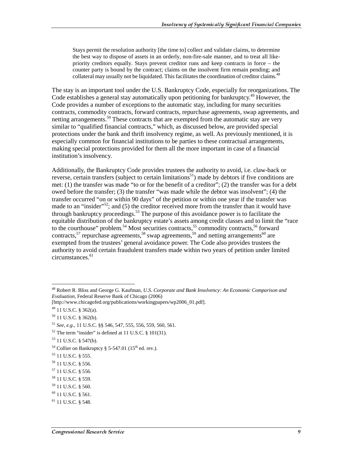Stays permit the resolution authority [the time to] collect and validate claims, to determine the best way to dispose of assets in an orderly, non-fire-sale manner, and to treat all likepriority creditors equally. Stays prevent creditor runs and keep contracts in force – the counter party is bound by the contract; claims on the insolvent firm remain pending; and collateral may usually not be liquidated. This facilitates the coordination of creditor claims.<sup>48</sup>

The stay is an important tool under the U.S. Bankruptcy Code, especially for reorganizations. The Code establishes a general stay automatically upon petitioning for bankruptcy.<sup>49</sup> However, the Code provides a number of exceptions to the automatic stay, including for many securities contracts, commodity contracts, forward contracts, repurchase agreements, swap agreements, and netting arrangements.<sup>50</sup> These contracts that are exempted from the automatic stay are very similar to "qualified financial contracts," which, as discussed below, are provided special protections under the bank and thrift insolvency regime, as well. As previously mentioned, it is especially common for financial institutions to be parties to these contractual arrangements, making special protections provided for them all the more important in case of a financial institution's insolvency.

Additionally, the Bankruptcy Code provides trustees the authority to avoid, i.e. claw-back or reverse, certain transfers (subject to certain limitations<sup>51</sup>) made by debtors if five conditions are met: (1) the transfer was made "to or for the benefit of a creditor"; (2) the transfer was for a debt owed before the transfer; (3) the transfer "was made while the debtor was insolvent"; (4) the transfer occurred "on or within 90 days" of the petition or within one year if the transfer was made to an "insider"<sup>52</sup>; and (5) the creditor received more from the transfer than it would have through bankruptcy proceedings.<sup>53</sup> The purpose of this avoidance power is to facilitate the equitable distribution of the bankruptcy estate's assets among credit classes and to limit the "race to the courthouse" problem.<sup>54</sup> Most securities contracts,<sup>55</sup> commodity contracts,<sup>56</sup> forward contracts,<sup>57</sup> repurchase agreements,<sup>58</sup> swap agreements,<sup>59</sup> and netting arrangements<sup>60</sup> are exempted from the trustees' general avoidance power. The Code also provides trustees the authority to avoid certain fraudulent transfers made within two years of petition under limited circumstances.<sup>61</sup>

 $\overline{a}$ 

53 11 U.S.C. § 547(b).

<sup>48</sup> Robert R. Bliss and George G. Kaufman, *U.S. Corporate and Bank Insolvency: An Economic Comparison and Evaluation*, Federal Reserve Bank of Chicago (2006)

<sup>[</sup>http://www.chicagofed.org/publications/workingpapers/wp2006\_01.pdf].

 $49$  11 U.S.C. § 362(a).

 $50$  11 U.S.C. § 362(b).

<sup>51</sup> *See*, *e.g.*, 11 U.S.C. §§ 546, 547, 555, 556, 559, 560, 561.

 $52$  The term "insider" is defined at 11 U.S.C. § 101(31).

<sup>&</sup>lt;sup>54</sup> Collier on Bankruptcy § 5-547.01 ( $15<sup>th</sup>$  ed. rev.).

<sup>55 11</sup> U.S.C. § 555.

<sup>56 11</sup> U.S.C. § 556.

<sup>57 11</sup> U.S.C. § 556.

<sup>58 11</sup> U.S.C. § 559.

<sup>59 11</sup> U.S.C. § 560.

 $^{60}$  11 U.S.C. § 561.

 $61$  11 U.S.C. § 548.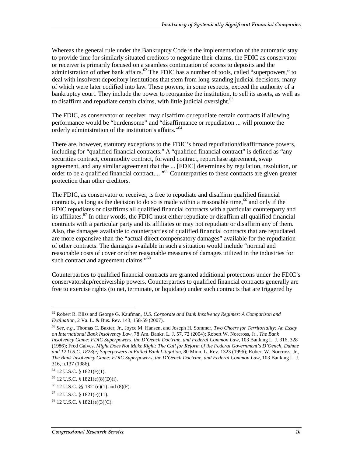Whereas the general rule under the Bankruptcy Code is the implementation of the automatic stay to provide time for similarly situated creditors to negotiate their claims, the FDIC as conservator or receiver is primarily focused on a seamless continuation of access to deposits and the administration of other bank affairs.<sup>62</sup> The FDIC has a number of tools, called "superpowers," to deal with insolvent depository institutions that stem from long-standing judicial decisions, many of which were later codified into law. These powers, in some respects, exceed the authority of a bankruptcy court. They include the power to reorganize the institution, to sell its assets, as well as to disaffirm and repudiate certain claims, with little judicial oversight.<sup>63</sup>

The FDIC, as conservator or receiver, may disaffirm or repudiate certain contracts if allowing performance would be "burdensome" and "disaffirmance or repudiation ... will promote the orderly administration of the institution's affairs."<sup>64</sup>

There are, however, statutory exceptions to the FDIC's broad repudiation/disaffirmance powers, including for "qualified financial contracts." A "qualified financial contract" is defined as "any securities contract, commodity contract, forward contract, repurchase agreement, swap agreement, and any similar agreement that the ... [FDIC] determines by regulation, resolution, or order to be a qualified financial contract.... "65 Counterparties to these contracts are given greater protection than other creditors.

The FDIC, as conservator or receiver, is free to repudiate and disaffirm qualified financial contracts, as long as the decision to do so is made within a reasonable time,  $66$  and only if the FDIC repudiates or disaffirms all qualified financial contracts with a particular counterparty and its affiliates.<sup>67</sup> In other words, the FDIC must either repudiate or disaffirm all qualified financial contracts with a particular party and its affiliates or may not repudiate or disaffirm any of them. Also, the damages available to counterparties of qualified financial contracts that are repudiated are more expansive than the "actual direct compensatory damages" available for the repudiation of other contracts. The damages available in such a situation would include "normal and reasonable costs of cover or other reasonable measures of damages utilized in the industries for such contract and agreement claims."<sup>68</sup>

Counterparties to qualified financial contracts are granted additional protections under the FDIC's conservatorship/receivership powers. Counterparties to qualified financial contracts generally are free to exercise rights (to net, terminate, or liquidate) under such contracts that are triggered by

 $\overline{a}$ 

<sup>62</sup> Robert R. Bliss and George G. Kaufman, *U.S. Corporate and Bank Insolvency Regimes: A Comparison and Evaluation*, 2 Va. L. & Bus. Rev. 143, 158-59 (2007).

<sup>63</sup> *See*, *e.g.*, Thomas C. Baxter, Jr., Joyce M. Hansen, and Joseph H. Sommer, *Two Cheers for Territoriality: An Essay on International Bank Insolvency Law*, 78 Am. Bankr. L. J. 57, 72 (2004); Robert W. Norcross, Jr., *The Bank Insolvency Game: FDIC Superpowers, the D'Oench Doctrine, and Federal Common Law*, 103 Banking L. J. 316, 328 (1986); Fred Galves, *Might Does Not Make Right: The Call for Reform of the Federal Government's D'Oench, Duhme and 12 U.S.C. 1823(e) Superpowers in Failed Bank Litigation*, 80 Minn. L. Rev. 1323 (1996); Robert W. Norcross, Jr., *The Bank Insolvency Game: FDIC Superpowers, the D'Oench Doctrine, and Federal Common Law*, 103 Banking L. J. 316, n.137 (1986).

 $64$  12 U.S.C. § 1821(e)(1).

 $65$  12 U.S.C. § 1821(e)(8)(D)(i).

<sup>66 12</sup> U.S.C. §§ 1821(e)(1) and (8)(F).

 $67$  12 U.S.C. § 1821(e)(11).

<sup>68 12</sup> U.S.C. § 1821(e)(3)(C).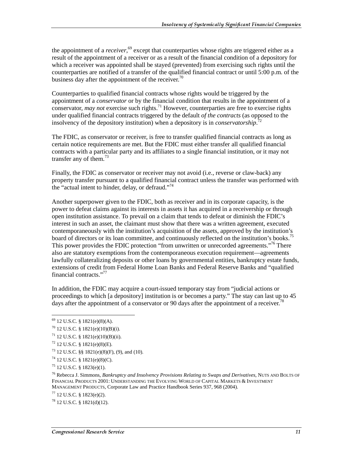the appointment of a *receiver*, 69 except that counterparties whose rights are triggered either as a result of the appointment of a receiver or as a result of the financial condition of a depository for which a receiver was appointed shall be stayed (prevented) from exercising such rights until the counterparties are notified of a transfer of the qualified financial contract or until 5:00 p.m. of the business day after the appointment of the receiver.<sup>70</sup>

Counterparties to qualified financial contracts whose rights would be triggered by the appointment of a *conservator* or by the financial condition that results in the appointment of a conservator, *may not* exercise such rights.71 However, counterparties are free to exercise rights under qualified financial contracts triggered by the default *of the contracts* (as opposed to the insolvency of the depository institution) when a depository is in *conservatorship*. 72

The FDIC, as conservator or receiver, is free to transfer qualified financial contracts as long as certain notice requirements are met. But the FDIC must either transfer all qualified financial contracts with a particular party and its affiliates to a single financial institution, or it may not transfer any of them. $73$ 

Finally, the FDIC as conservator or receiver may not avoid (i.e., reverse or claw-back) any property transfer pursuant to a qualified financial contract unless the transfer was performed with the "actual intent to hinder, delay, or defraud."<sup>74</sup>

Another superpower given to the FDIC, both as receiver and in its corporate capacity, is the power to defeat claims against its interests in assets it has acquired in a receivership or through open institution assistance. To prevail on a claim that tends to defeat or diminish the FDIC's interest in such an asset, the claimant must show that there was a written agreement, executed contemporaneously with the institution's acquisition of the assets, approved by the institution's board of directors or its loan committee, and continuously reflected on the institution's books.<sup>75</sup> This power provides the FDIC protection "from unwritten or unrecorded agreements."<sup>76</sup> There also are statutory exemptions from the contemporaneous execution requirement—agreements lawfully collateralizing deposits or other loans by governmental entities, bankruptcy estate funds, extensions of credit from Federal Home Loan Banks and Federal Reserve Banks and "qualified financial contracts."<sup>77</sup>

In addition, the FDIC may acquire a court-issued temporary stay from "judicial actions or proceedings to which [a depository] institution is or becomes a party." The stay can last up to 45 days after the appointment of a conservator or 90 days after the appointment of a receiver.<sup>78</sup>

 $\overline{a}$ 

 $69$  12 U.S.C. § 1821(e)(8)(A).

 $^{70}$  12 U.S.C. § 1821(e)(10)(B)(i).

<sup>71 12</sup> U.S.C. § 1821(e)(10)(B)(ii).

 $72$  12 U.S.C. § 1821(e)(8)(E).

 $73$  12 U.S.C. §§ 1821(e)(8)(F), (9), and (10).

<sup>74 12</sup> U.S.C. § 1821(e)(8)(C).

 $^{75}$  12 U.S.C. § 1823(e)(1).

<sup>76</sup> Rebecca J. Simmons, *Bankruptcy and Insolvency Provisions Relating to Swaps and Derivatives*, NUTS AND BOLTS OF FINANCIAL PRODUCTS 2001: UNDERSTANDING THE EVOLVING WORLD OF CAPITAL MARKETS & INVESTMENT MANAGEMENT PRODUCTS, Corporate Law and Practice Handbook Series 937, 968 (2004).

 $77$  12 U.S.C. § 1823(e)(2).

<sup>78 12</sup> U.S.C. § 1821(d)(12).